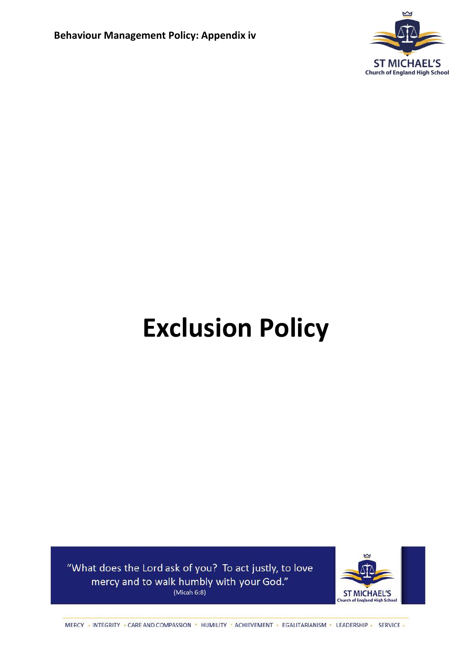

# **Exclusion Policy**

"What does the Lord ask of you? To act justly, to love mercy and to walk humbly with your God." (Micah  $6:8$ )



MERCY INTEGRITY CARE AND COMPASSION IN HUMILITY ACHIEVEMENT EGALITARIANISM ILEADERSHIP SERVICE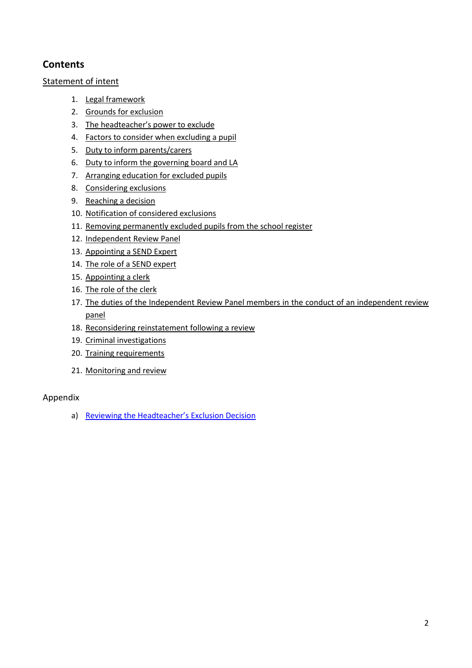## **Contents**

## [Statement of intent](#page-1-0)

- 1. [Legal framework](#page-3-0)
- 2. [Grounds for exclusion](#page-3-1)
- 3. The [headteacher's power to exclude](#page-4-0)
- 4. [Factors to consider when excluding a pupil](#page-4-1)
- 5. [Duty to inform parents/carers](#page-5-0)
- 6. [Duty to inform the governing board and LA](#page-6-0)
- 7. [Arranging education for excluded pupils](#page-6-1)
- 8. [Considering exclusions](#page-7-0)
- 9. [Reaching a decision](#page-8-0)
- 10. [Notification of considered exclusions](#page-8-1)
- 11. [Removing permanently excluded pupils from the school register](#page-9-0)
- 12. [Independent Review Panel](#page-10-0)
- 13. [Appointing a](#page-10-1) SEND Expert
- 14. [The role of a](#page-11-0) SEND expert
- 15. [Appointing a clerk](#page-11-1)
- 16. [The role of the clerk](#page-11-2)
- 17. [The duties of the Independent Review Panel members in the conduct of an independent review](#page-12-0)  [panel](#page-12-0)
- 18. [Reconsidering reinstatement following a review](#page-12-1)
- 19. [Criminal investigations](#page-13-0)
- 20. [Training requirements](#page-13-1)
- 21. [Monitoring and review](#page-13-2)

## Appendix

<span id="page-1-0"></span>a) [Reviewing the Headteacher's Exclusion Decision](#page-14-0)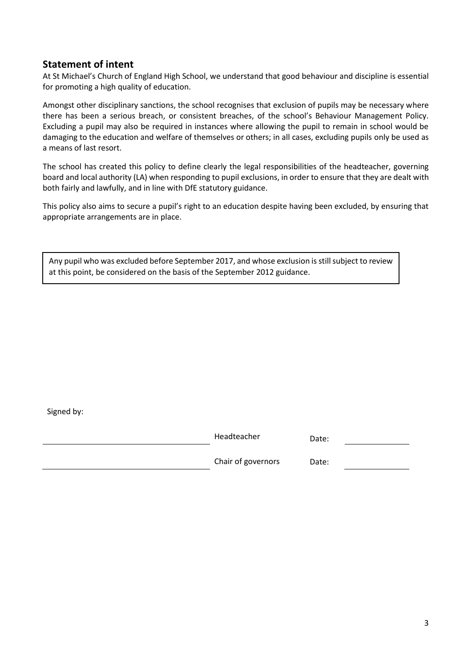## **Statement of intent**

At St Michael's Church of England High School, we understand that good behaviour and discipline is essential for promoting a high quality of education.

Amongst other disciplinary sanctions, the school recognises that exclusion of pupils may be necessary where there has been a serious breach, or consistent breaches, of the school's Behaviour Management Policy. Excluding a pupil may also be required in instances where allowing the pupil to remain in school would be damaging to the education and welfare of themselves or others; in all cases, excluding pupils only be used as a means of last resort.

The school has created this policy to define clearly the legal responsibilities of the headteacher, governing board and local authority (LA) when responding to pupil exclusions, in order to ensure that they are dealt with both fairly and lawfully, and in line with DfE statutory guidance.

This policy also aims to secure a pupil's right to an education despite having been excluded, by ensuring that appropriate arrangements are in place.

Any pupil who was excluded before September 2017, and whose exclusion is still subject to review at this point, be considered on the basis of the September 2012 guidance.

Signed by:

| Headteacher        | Date: |
|--------------------|-------|
| Chair of governors | Date: |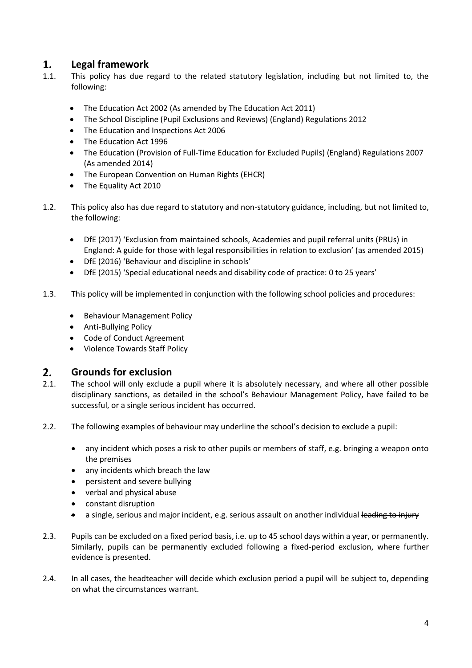#### <span id="page-3-0"></span> $1.$ **Legal framework**

- 1.1. This policy has due regard to the related statutory legislation, including but not limited to, the following:
	- The Education Act 2002 (As amended by The Education Act 2011)
	- The School Discipline (Pupil Exclusions and Reviews) (England) Regulations 2012
	- The Education and Inspections Act 2006
	- The Education Act 1996
	- The Education (Provision of Full-Time Education for Excluded Pupils) (England) Regulations 2007 (As amended 2014)
	- The European Convention on Human Rights (EHCR)
	- The Equality Act 2010
- 1.2. This policy also has due regard to statutory and non-statutory guidance, including, but not limited to, the following:
	- DfE (2017) 'Exclusion from maintained schools, Academies and pupil referral units (PRUs) in England: A guide for those with legal responsibilities in relation to exclusion' (as amended 2015)
	- DfE (2016) 'Behaviour and discipline in schools'
	- DfE (2015) 'Special educational needs and disability code of practice: 0 to 25 years'
- 1.3. This policy will be implemented in conjunction with the following school policies and procedures:
	- Behaviour Management Policy
	- Anti-Bullying Policy
	- Code of Conduct Agreement
	- Violence Towards Staff Policy

#### <span id="page-3-1"></span> $2.$ **Grounds for exclusion**

- 2.1. The school will only exclude a pupil where it is absolutely necessary, and where all other possible disciplinary sanctions, as detailed in the school's Behaviour Management Policy, have failed to be successful, or a single serious incident has occurred.
- 2.2. The following examples of behaviour may underline the school's decision to exclude a pupil:
	- any incident which poses a risk to other pupils or members of staff, e.g. bringing a weapon onto the premises
	- any incidents which breach the law
	- persistent and severe bullying
	- verbal and physical abuse
	- constant disruption
	- a single, serious and major incident, e.g. serious assault on another individual leading to injury
- 2.3. Pupils can be excluded on a fixed period basis, i.e. up to 45 school days within a year, or permanently. Similarly, pupils can be permanently excluded following a fixed-period exclusion, where further evidence is presented.
- 2.4. In all cases, the headteacher will decide which exclusion period a pupil will be subject to, depending on what the circumstances warrant.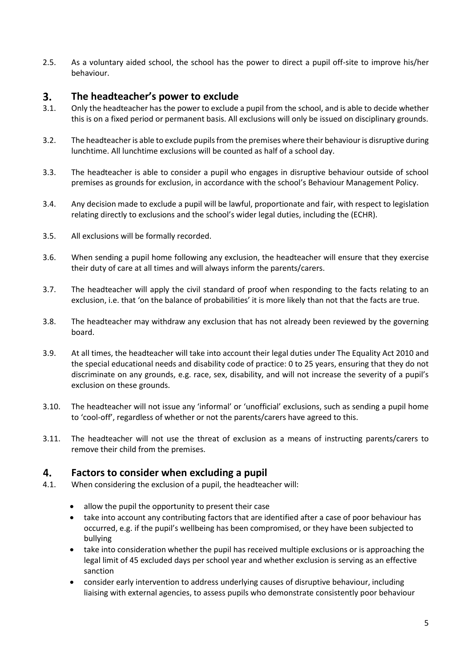2.5. As a voluntary aided school, the school has the power to direct a pupil off-site to improve his/her behaviour.

#### <span id="page-4-0"></span> $3.$ **The headteacher's power to exclude**

- 3.1. Only the headteacher has the power to exclude a pupil from the school, and is able to decide whether this is on a fixed period or permanent basis. All exclusions will only be issued on disciplinary grounds.
- 3.2. The headteacher is able to exclude pupils from the premises where their behaviour is disruptive during lunchtime. All lunchtime exclusions will be counted as half of a school day.
- 3.3. The headteacher is able to consider a pupil who engages in disruptive behaviour outside of school premises as grounds for exclusion, in accordance with the school's Behaviour Management Policy.
- 3.4. Any decision made to exclude a pupil will be lawful, proportionate and fair, with respect to legislation relating directly to exclusions and the school's wider legal duties, including the (ECHR).
- 3.5. All exclusions will be formally recorded.
- 3.6. When sending a pupil home following any exclusion, the headteacher will ensure that they exercise their duty of care at all times and will always inform the parents/carers.
- 3.7. The headteacher will apply the civil standard of proof when responding to the facts relating to an exclusion, i.e. that 'on the balance of probabilities' it is more likely than not that the facts are true.
- 3.8. The headteacher may withdraw any exclusion that has not already been reviewed by the governing board.
- 3.9. At all times, the headteacher will take into account their legal duties under The Equality Act 2010 and the special educational needs and disability code of practice: 0 to 25 years, ensuring that they do not discriminate on any grounds, e.g. race, sex, disability, and will not increase the severity of a pupil's exclusion on these grounds.
- 3.10. The headteacher will not issue any 'informal' or 'unofficial' exclusions, such as sending a pupil home to 'cool-off', regardless of whether or not the parents/carers have agreed to this.
- 3.11. The headteacher will not use the threat of exclusion as a means of instructing parents/carers to remove their child from the premises.

#### <span id="page-4-1"></span>4. **Factors to consider when excluding a pupil**

- 4.1. When considering the exclusion of a pupil, the headteacher will:
	- allow the pupil the opportunity to present their case
	- take into account any contributing factors that are identified after a case of poor behaviour has occurred, e.g. if the pupil's wellbeing has been compromised, or they have been subjected to bullying
	- take into consideration whether the pupil has received multiple exclusions or is approaching the legal limit of 45 excluded days per school year and whether exclusion is serving as an effective sanction
	- consider early intervention to address underlying causes of disruptive behaviour, including liaising with external agencies, to assess pupils who demonstrate consistently poor behaviour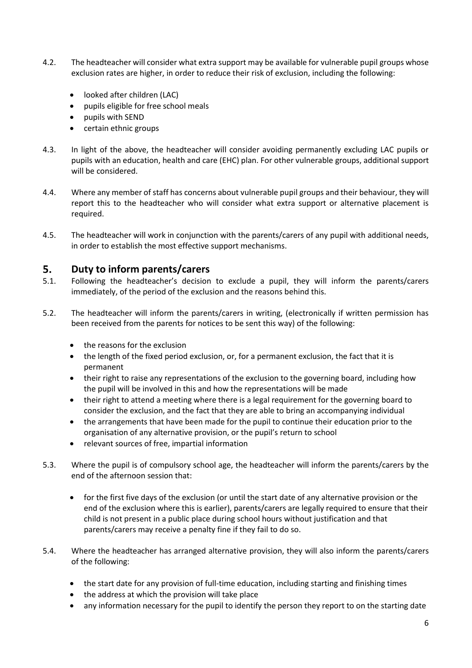- 4.2. The headteacher will consider what extra support may be available for vulnerable pupil groups whose exclusion rates are higher, in order to reduce their risk of exclusion, including the following:
	- looked after children (LAC)
	- pupils eligible for free school meals
	- pupils with SEND
	- certain ethnic groups
- 4.3. In light of the above, the headteacher will consider avoiding permanently excluding LAC pupils or pupils with an education, health and care (EHC) plan. For other vulnerable groups, additional support will be considered.
- 4.4. Where any member of staff has concerns about vulnerable pupil groups and their behaviour, they will report this to the headteacher who will consider what extra support or alternative placement is required.
- 4.5. The headteacher will work in conjunction with the parents/carers of any pupil with additional needs, in order to establish the most effective support mechanisms.

#### <span id="page-5-0"></span> $5<sub>1</sub>$ **Duty to inform parents/carers**

- 5.1. Following the headteacher's decision to exclude a pupil, they will inform the parents/carers immediately, of the period of the exclusion and the reasons behind this.
- 5.2. The headteacher will inform the parents/carers in writing, (electronically if written permission has been received from the parents for notices to be sent this way) of the following:
	- the reasons for the exclusion
	- the length of the fixed period exclusion, or, for a permanent exclusion, the fact that it is permanent
	- their right to raise any representations of the exclusion to the governing board, including how the pupil will be involved in this and how the representations will be made
	- their right to attend a meeting where there is a legal requirement for the governing board to consider the exclusion, and the fact that they are able to bring an accompanying individual
	- the arrangements that have been made for the pupil to continue their education prior to the organisation of any alternative provision, or the pupil's return to school
	- relevant sources of free, impartial information
- 5.3. Where the pupil is of compulsory school age, the headteacher will inform the parents/carers by the end of the afternoon session that:
	- for the first five days of the exclusion (or until the start date of any alternative provision or the end of the exclusion where this is earlier), parents/carers are legally required to ensure that their child is not present in a public place during school hours without justification and that parents/carers may receive a penalty fine if they fail to do so.
- 5.4. Where the headteacher has arranged alternative provision, they will also inform the parents/carers of the following:
	- the start date for any provision of full-time education, including starting and finishing times
	- the address at which the provision will take place
	- any information necessary for the pupil to identify the person they report to on the starting date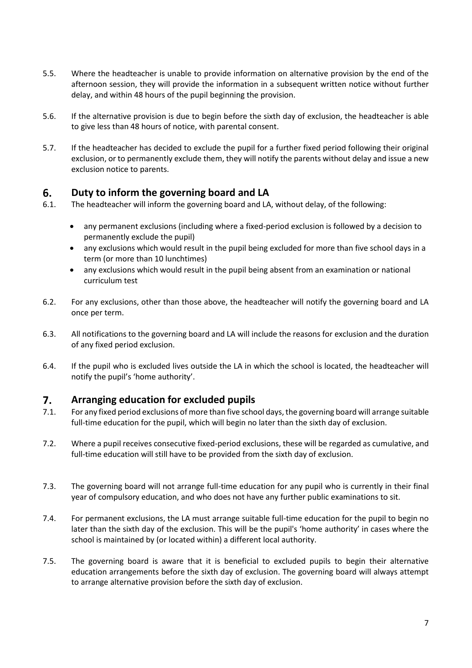- 5.5. Where the headteacher is unable to provide information on alternative provision by the end of the afternoon session, they will provide the information in a subsequent written notice without further delay, and within 48 hours of the pupil beginning the provision.
- 5.6. If the alternative provision is due to begin before the sixth day of exclusion, the headteacher is able to give less than 48 hours of notice, with parental consent.
- 5.7. If the headteacher has decided to exclude the pupil for a further fixed period following their original exclusion, or to permanently exclude them, they will notify the parents without delay and issue a new exclusion notice to parents.

#### <span id="page-6-0"></span>6. **Duty to inform the governing board and LA**

- 6.1. The headteacher will inform the governing board and LA, without delay, of the following:
	- any permanent exclusions (including where a fixed-period exclusion is followed by a decision to permanently exclude the pupil)
	- any exclusions which would result in the pupil being excluded for more than five school days in a term (or more than 10 lunchtimes)
	- any exclusions which would result in the pupil being absent from an examination or national curriculum test
- 6.2. For any exclusions, other than those above, the headteacher will notify the governing board and LA once per term.
- 6.3. All notifications to the governing board and LA will include the reasons for exclusion and the duration of any fixed period exclusion.
- 6.4. If the pupil who is excluded lives outside the LA in which the school is located, the headteacher will notify the pupil's 'home authority'.

#### <span id="page-6-1"></span> $7.$ **Arranging education for excluded pupils**

- 7.1. For any fixed period exclusions of more than five school days, the governing board will arrange suitable full-time education for the pupil, which will begin no later than the sixth day of exclusion.
- 7.2. Where a pupil receives consecutive fixed-period exclusions, these will be regarded as cumulative, and full-time education will still have to be provided from the sixth day of exclusion.
- 7.3. The governing board will not arrange full-time education for any pupil who is currently in their final year of compulsory education, and who does not have any further public examinations to sit.
- 7.4. For permanent exclusions, the LA must arrange suitable full-time education for the pupil to begin no later than the sixth day of the exclusion. This will be the pupil's 'home authority' in cases where the school is maintained by (or located within) a different local authority.
- 7.5. The governing board is aware that it is beneficial to excluded pupils to begin their alternative education arrangements before the sixth day of exclusion. The governing board will always attempt to arrange alternative provision before the sixth day of exclusion.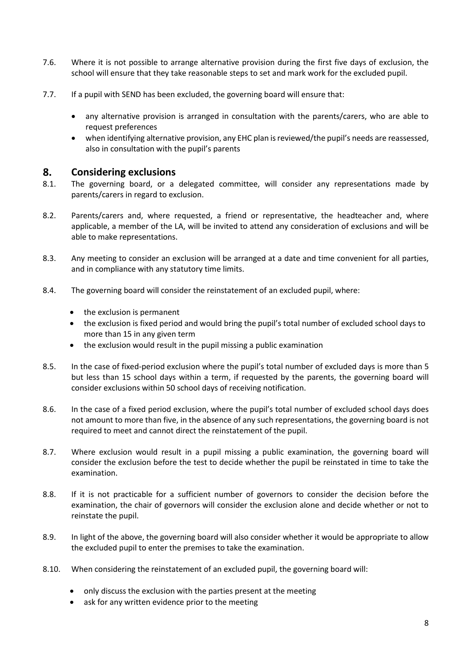- 7.6. Where it is not possible to arrange alternative provision during the first five days of exclusion, the school will ensure that they take reasonable steps to set and mark work for the excluded pupil.
- 7.7. If a pupil with SEND has been excluded, the governing board will ensure that:
	- any alternative provision is arranged in consultation with the parents/carers, who are able to request preferences
	- when identifying alternative provision, any EHC plan is reviewed/the pupil's needs are reassessed, also in consultation with the pupil's parents

#### <span id="page-7-0"></span>8. **Considering exclusions**

- 8.1. The governing board, or a delegated committee, will consider any representations made by parents/carers in regard to exclusion.
- 8.2. Parents/carers and, where requested, a friend or representative, the headteacher and, where applicable, a member of the LA, will be invited to attend any consideration of exclusions and will be able to make representations.
- 8.3. Any meeting to consider an exclusion will be arranged at a date and time convenient for all parties, and in compliance with any statutory time limits.
- 8.4. The governing board will consider the reinstatement of an excluded pupil, where:
	- the exclusion is permanent
	- the exclusion is fixed period and would bring the pupil's total number of excluded school days to more than 15 in any given term
	- the exclusion would result in the pupil missing a public examination
- 8.5. In the case of fixed-period exclusion where the pupil's total number of excluded days is more than 5 but less than 15 school days within a term, if requested by the parents, the governing board will consider exclusions within 50 school days of receiving notification.
- 8.6. In the case of a fixed period exclusion, where the pupil's total number of excluded school days does not amount to more than five, in the absence of any such representations, the governing board is not required to meet and cannot direct the reinstatement of the pupil.
- 8.7. Where exclusion would result in a pupil missing a public examination, the governing board will consider the exclusion before the test to decide whether the pupil be reinstated in time to take the examination.
- 8.8. If it is not practicable for a sufficient number of governors to consider the decision before the examination, the chair of governors will consider the exclusion alone and decide whether or not to reinstate the pupil.
- 8.9. In light of the above, the governing board will also consider whether it would be appropriate to allow the excluded pupil to enter the premises to take the examination.
- 8.10. When considering the reinstatement of an excluded pupil, the governing board will:
	- only discuss the exclusion with the parties present at the meeting
	- ask for any written evidence prior to the meeting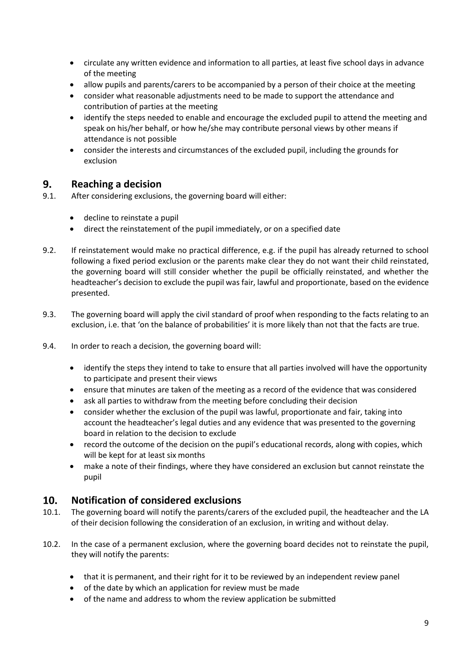- circulate any written evidence and information to all parties, at least five school days in advance of the meeting
- allow pupils and parents/carers to be accompanied by a person of their choice at the meeting
- consider what reasonable adjustments need to be made to support the attendance and contribution of parties at the meeting
- identify the steps needed to enable and encourage the excluded pupil to attend the meeting and speak on his/her behalf, or how he/she may contribute personal views by other means if attendance is not possible
- consider the interests and circumstances of the excluded pupil, including the grounds for exclusion

#### <span id="page-8-0"></span>9. **Reaching a decision**

- 9.1. After considering exclusions, the governing board will either:
	- decline to reinstate a pupil
	- direct the reinstatement of the pupil immediately, or on a specified date
- 9.2. If reinstatement would make no practical difference, e.g. if the pupil has already returned to school following a fixed period exclusion or the parents make clear they do not want their child reinstated, the governing board will still consider whether the pupil be officially reinstated, and whether the headteacher's decision to exclude the pupil was fair, lawful and proportionate, based on the evidence presented.
- 9.3. The governing board will apply the civil standard of proof when responding to the facts relating to an exclusion, i.e. that 'on the balance of probabilities' it is more likely than not that the facts are true.
- 9.4. In order to reach a decision, the governing board will:
	- identify the steps they intend to take to ensure that all parties involved will have the opportunity to participate and present their views
	- ensure that minutes are taken of the meeting as a record of the evidence that was considered
	- ask all parties to withdraw from the meeting before concluding their decision
	- consider whether the exclusion of the pupil was lawful, proportionate and fair, taking into account the headteacher's legal duties and any evidence that was presented to the governing board in relation to the decision to exclude
	- record the outcome of the decision on the pupil's educational records, along with copies, which will be kept for at least six months
	- make a note of their findings, where they have considered an exclusion but cannot reinstate the pupil

#### <span id="page-8-1"></span> $10.$ **Notification of considered exclusions**

- 10.1. The governing board will notify the parents/carers of the excluded pupil, the headteacher and the LA of their decision following the consideration of an exclusion, in writing and without delay.
- 10.2. In the case of a permanent exclusion, where the governing board decides not to reinstate the pupil, they will notify the parents:
	- that it is permanent, and their right for it to be reviewed by an independent review panel
	- of the date by which an application for review must be made
	- of the name and address to whom the review application be submitted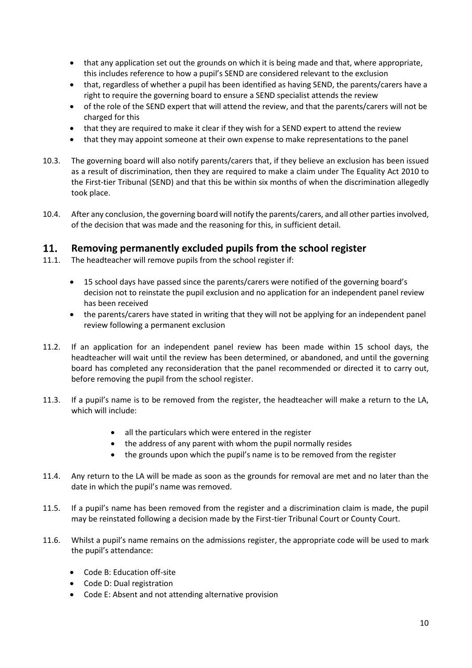- that any application set out the grounds on which it is being made and that, where appropriate, this includes reference to how a pupil's SEND are considered relevant to the exclusion
- that, regardless of whether a pupil has been identified as having SEND, the parents/carers have a right to require the governing board to ensure a SEND specialist attends the review
- of the role of the SEND expert that will attend the review, and that the parents/carers will not be charged for this
- that they are required to make it clear if they wish for a SEND expert to attend the review
- that they may appoint someone at their own expense to make representations to the panel
- 10.3. The governing board will also notify parents/carers that, if they believe an exclusion has been issued as a result of discrimination, then they are required to make a claim under The Equality Act 2010 to the First-tier Tribunal (SEND) and that this be within six months of when the discrimination allegedly took place.
- 10.4. After any conclusion, the governing board will notify the parents/carers, and all other parties involved, of the decision that was made and the reasoning for this, in sufficient detail.

#### <span id="page-9-0"></span>11. **Removing permanently excluded pupils from the school register**

- 11.1. The headteacher will remove pupils from the school register if:
	- 15 school days have passed since the parents/carers were notified of the governing board's decision not to reinstate the pupil exclusion and no application for an independent panel review has been received
	- the parents/carers have stated in writing that they will not be applying for an independent panel review following a permanent exclusion
- 11.2. If an application for an independent panel review has been made within 15 school days, the headteacher will wait until the review has been determined, or abandoned, and until the governing board has completed any reconsideration that the panel recommended or directed it to carry out, before removing the pupil from the school register.
- 11.3. If a pupil's name is to be removed from the register, the headteacher will make a return to the LA, which will include:
	- all the particulars which were entered in the register
	- the address of any parent with whom the pupil normally resides
	- the grounds upon which the pupil's name is to be removed from the register
- 11.4. Any return to the LA will be made as soon as the grounds for removal are met and no later than the date in which the pupil's name was removed.
- 11.5. If a pupil's name has been removed from the register and a discrimination claim is made, the pupil may be reinstated following a decision made by the First-tier Tribunal Court or County Court.
- 11.6. Whilst a pupil's name remains on the admissions register, the appropriate code will be used to mark the pupil's attendance:
	- Code B: Education off-site
	- Code D: Dual registration
	- Code E: Absent and not attending alternative provision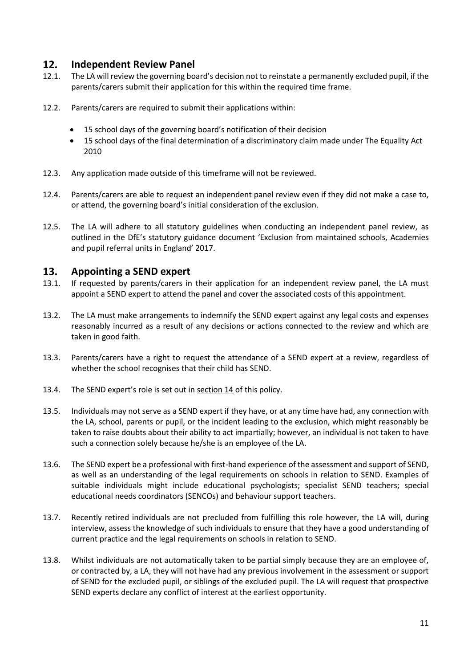#### <span id="page-10-0"></span>12. **Independent Review Panel**

- 12.1. The LA will review the governing board's decision not to reinstate a permanently excluded pupil, if the parents/carers submit their application for this within the required time frame.
- 12.2. Parents/carers are required to submit their applications within:
	- 15 school days of the governing board's notification of their decision
	- 15 school days of the final determination of a discriminatory claim made under The Equality Act 2010
- 12.3. Any application made outside of this timeframe will not be reviewed.
- 12.4. Parents/carers are able to request an independent panel review even if they did not make a case to, or attend, the governing board's initial consideration of the exclusion.
- 12.5. The LA will adhere to all statutory guidelines when conducting an independent panel review, as outlined in the DfE's statutory guidance document 'Exclusion from maintained schools, Academies and pupil referral units in England' 2017.

#### <span id="page-10-1"></span>13. **Appointing a SEND expert**

- 13.1. If requested by parents/carers in their application for an independent review panel, the LA must appoint a SEND expert to attend the panel and cover the associated costs of this appointment.
- 13.2. The LA must make arrangements to indemnify the SEND expert against any legal costs and expenses reasonably incurred as a result of any decisions or actions connected to the review and which are taken in good faith.
- 13.3. Parents/carers have a right to request the attendance of a SEND expert at a review, regardless of whether the school recognises that their child has SEND.
- 13.4. The SEND expert's role is set out in [section 14](#page-11-0) of this policy.
- 13.5. Individuals may not serve as a SEND expert if they have, or at any time have had, any connection with the LA, school, parents or pupil, or the incident leading to the exclusion, which might reasonably be taken to raise doubts about their ability to act impartially; however, an individual is not taken to have such a connection solely because he/she is an employee of the LA.
- 13.6. The SEND expert be a professional with first-hand experience of the assessment and support of SEND, as well as an understanding of the legal requirements on schools in relation to SEND. Examples of suitable individuals might include educational psychologists; specialist SEND teachers; special educational needs coordinators (SENCOs) and behaviour support teachers.
- 13.7. Recently retired individuals are not precluded from fulfilling this role however, the LA will, during interview, assess the knowledge of such individuals to ensure that they have a good understanding of current practice and the legal requirements on schools in relation to SEND.
- 13.8. Whilst individuals are not automatically taken to be partial simply because they are an employee of, or contracted by, a LA, they will not have had any previous involvement in the assessment or support of SEND for the excluded pupil, or siblings of the excluded pupil. The LA will request that prospective SEND experts declare any conflict of interest at the earliest opportunity.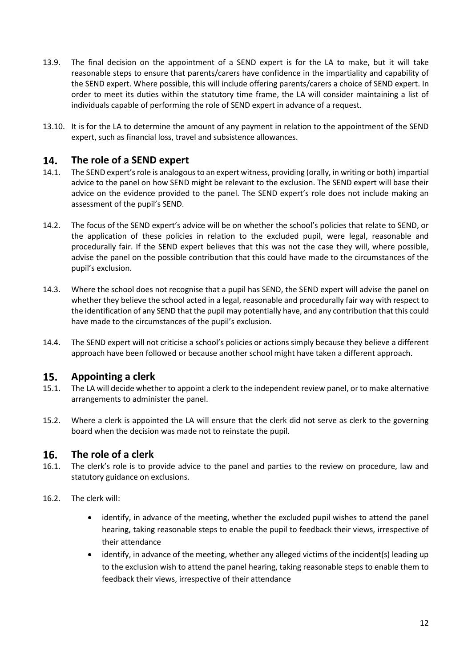- 13.9. The final decision on the appointment of a SEND expert is for the LA to make, but it will take reasonable steps to ensure that parents/carers have confidence in the impartiality and capability of the SEND expert. Where possible, this will include offering parents/carers a choice of SEND expert. In order to meet its duties within the statutory time frame, the LA will consider maintaining a list of individuals capable of performing the role of SEND expert in advance of a request.
- 13.10. It is for the LA to determine the amount of any payment in relation to the appointment of the SEND expert, such as financial loss, travel and subsistence allowances.

#### <span id="page-11-0"></span>14. **The role of a SEND expert**

- 14.1. The SEND expert's role is analogous to an expert witness, providing (orally, in writing or both) impartial advice to the panel on how SEND might be relevant to the exclusion. The SEND expert will base their advice on the evidence provided to the panel. The SEND expert's role does not include making an assessment of the pupil's SEND.
- 14.2. The focus of the SEND expert's advice will be on whether the school's policies that relate to SEND, or the application of these policies in relation to the excluded pupil, were legal, reasonable and procedurally fair. If the SEND expert believes that this was not the case they will, where possible, advise the panel on the possible contribution that this could have made to the circumstances of the pupil's exclusion.
- 14.3. Where the school does not recognise that a pupil has SEND, the SEND expert will advise the panel on whether they believe the school acted in a legal, reasonable and procedurally fair way with respect to the identification of any SEND that the pupil may potentially have, and any contribution that this could have made to the circumstances of the pupil's exclusion.
- 14.4. The SEND expert will not criticise a school's policies or actions simply because they believe a different approach have been followed or because another school might have taken a different approach.

#### <span id="page-11-1"></span>15. **Appointing a clerk**

- 15.1. The LA will decide whether to appoint a clerk to the independent review panel, or to make alternative arrangements to administer the panel.
- 15.2. Where a clerk is appointed the LA will ensure that the clerk did not serve as clerk to the governing board when the decision was made not to reinstate the pupil.

#### <span id="page-11-2"></span>16. **The role of a clerk**

- 16.1. The clerk's role is to provide advice to the panel and parties to the review on procedure, law and statutory guidance on exclusions.
- 16.2. The clerk will:
	- identify, in advance of the meeting, whether the excluded pupil wishes to attend the panel hearing, taking reasonable steps to enable the pupil to feedback their views, irrespective of their attendance
	- identify, in advance of the meeting, whether any alleged victims of the incident(s) leading up to the exclusion wish to attend the panel hearing, taking reasonable steps to enable them to feedback their views, irrespective of their attendance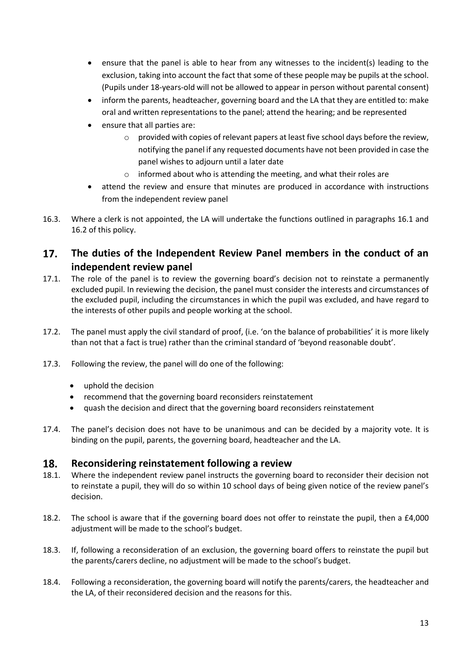- ensure that the panel is able to hear from any witnesses to the incident(s) leading to the exclusion, taking into account the fact that some of these people may be pupils at the school. (Pupils under 18-years-old will not be allowed to appear in person without parental consent)
- inform the parents, headteacher, governing board and the LA that they are entitled to: make oral and written representations to the panel; attend the hearing; and be represented
- ensure that all parties are:
	- $\circ$  provided with copies of relevant papers at least five school days before the review, notifying the panel if any requested documents have not been provided in case the panel wishes to adjourn until a later date
	- o informed about who is attending the meeting, and what their roles are
- attend the review and ensure that minutes are produced in accordance with instructions from the independent review panel
- 16.3. Where a clerk is not appointed, the LA will undertake the functions outlined in paragraphs 16.1 and 16.2 of this policy.

### <span id="page-12-0"></span> $17.$ **The duties of the Independent Review Panel members in the conduct of an independent review panel**

- 17.1. The role of the panel is to review the governing board's decision not to reinstate a permanently excluded pupil. In reviewing the decision, the panel must consider the interests and circumstances of the excluded pupil, including the circumstances in which the pupil was excluded, and have regard to the interests of other pupils and people working at the school.
- 17.2. The panel must apply the civil standard of proof, (i.e. 'on the balance of probabilities' it is more likely than not that a fact is true) rather than the criminal standard of 'beyond reasonable doubt'.
- 17.3. Following the review, the panel will do one of the following:
	- uphold the decision
	- recommend that the governing board reconsiders reinstatement
	- quash the decision and direct that the governing board reconsiders reinstatement
- 17.4. The panel's decision does not have to be unanimous and can be decided by a majority vote. It is binding on the pupil, parents, the governing board, headteacher and the LA.

#### <span id="page-12-1"></span>18. **Reconsidering reinstatement following a review**

- 18.1. Where the independent review panel instructs the governing board to reconsider their decision not to reinstate a pupil, they will do so within 10 school days of being given notice of the review panel's decision.
- 18.2. The school is aware that if the governing board does not offer to reinstate the pupil, then a £4,000 adjustment will be made to the school's budget.
- 18.3. If, following a reconsideration of an exclusion, the governing board offers to reinstate the pupil but the parents/carers decline, no adjustment will be made to the school's budget.
- 18.4. Following a reconsideration, the governing board will notify the parents/carers, the headteacher and the LA, of their reconsidered decision and the reasons for this.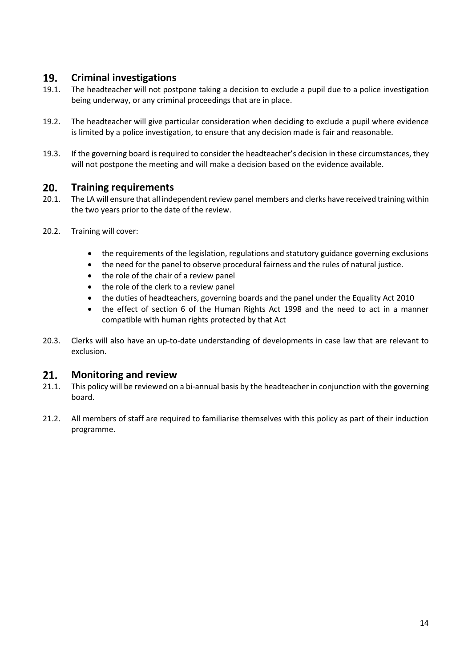#### <span id="page-13-0"></span>19. **Criminal investigations**

- 19.1. The headteacher will not postpone taking a decision to exclude a pupil due to a police investigation being underway, or any criminal proceedings that are in place.
- 19.2. The headteacher will give particular consideration when deciding to exclude a pupil where evidence is limited by a police investigation, to ensure that any decision made is fair and reasonable.
- 19.3. If the governing board is required to consider the headteacher's decision in these circumstances, they will not postpone the meeting and will make a decision based on the evidence available.

#### <span id="page-13-2"></span><span id="page-13-1"></span> $20.$ **Training requirements**

- 20.1. The LA will ensure that all independent review panel members and clerks have received training within the two years prior to the date of the review.
- 20.2. Training will cover:
	- the requirements of the legislation, regulations and statutory guidance governing exclusions
	- the need for the panel to observe procedural fairness and the rules of natural justice.
	- the role of the chair of a review panel
	- the role of the clerk to a review panel
	- the duties of headteachers, governing boards and the panel under the Equality Act 2010
	- the effect of section 6 of the Human Rights Act 1998 and the need to act in a manner compatible with human rights protected by that Act
- 20.3. Clerks will also have an up-to-date understanding of developments in case law that are relevant to exclusion.

#### $21.$ **Monitoring and review**

- 21.1. This policy will be reviewed on a bi-annual basis by the headteacher in conjunction with the governing board.
- 21.2. All members of staff are required to familiarise themselves with this policy as part of their induction programme.